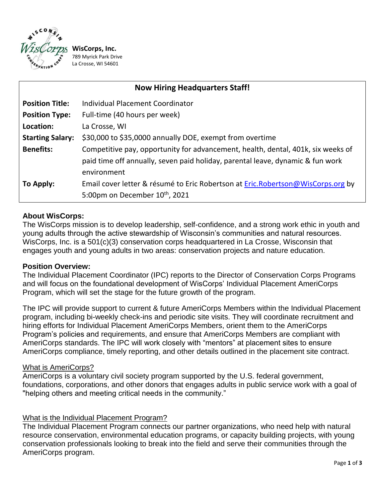

/8<br>La **WisCorps, Inc.** 789 Myrick Park Drive La Crosse, WI 54601

| <b>Now Hiring Headquarters Staff!</b> |                                                                                                                                                                                   |
|---------------------------------------|-----------------------------------------------------------------------------------------------------------------------------------------------------------------------------------|
| <b>Position Title:</b>                | <b>Individual Placement Coordinator</b>                                                                                                                                           |
| <b>Position Type:</b>                 | Full-time (40 hours per week)                                                                                                                                                     |
| Location:                             | La Crosse, WI                                                                                                                                                                     |
| <b>Starting Salary:</b>               | \$30,000 to \$35,0000 annually DOE, exempt from overtime                                                                                                                          |
| <b>Benefits:</b>                      | Competitive pay, opportunity for advancement, health, dental, 401k, six weeks of<br>paid time off annually, seven paid holiday, parental leave, dynamic & fun work<br>environment |
| To Apply:                             | Email cover letter & résumé to Eric Robertson at Eric.Robertson@WisCorps.org by<br>5:00pm on December $10^{th}$ , 2021                                                            |

### **About WisCorps:**

The WisCorps mission is to develop leadership, self-confidence, and a strong work ethic in youth and young adults through the active stewardship of Wisconsin's communities and natural resources. WisCorps, Inc. is a 501(c)(3) conservation corps headquartered in La Crosse, Wisconsin that engages youth and young adults in two areas: conservation projects and nature education.

### **Position Overview:**

The Individual Placement Coordinator (IPC) reports to the Director of Conservation Corps Programs and will focus on the foundational development of WisCorps' Individual Placement AmeriCorps Program, which will set the stage for the future growth of the program.

The IPC will provide support to current & future AmeriCorps Members within the Individual Placement program, including bi-weekly check-ins and periodic site visits. They will coordinate recruitment and hiring efforts for Individual Placement AmeriCorps Members, orient them to the AmeriCorps Program's policies and requirements, and ensure that AmeriCorps Members are compliant with AmeriCorps standards. The IPC will work closely with "mentors" at placement sites to ensure AmeriCorps compliance, timely reporting, and other details outlined in the placement site contract.

#### What is AmeriCorps?

AmeriCorps is a voluntary civil society program supported by the U.S. federal government, foundations, corporations, and other donors that engages adults in public service work with a goal of "helping others and meeting critical needs in the community."

### What is the Individual Placement Program?

The Individual Placement Program connects our partner organizations, who need help with natural resource conservation, environmental education programs, or capacity building projects, with young conservation professionals looking to break into the field and serve their communities through the AmeriCorps program.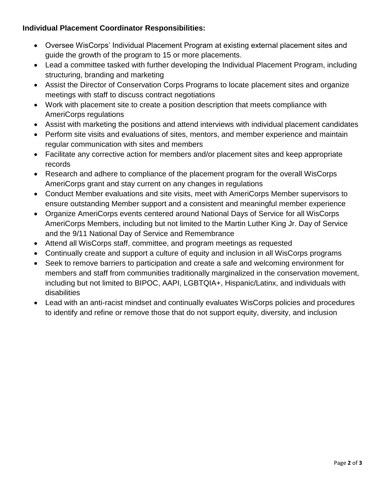# **Individual Placement Coordinator Responsibilities:**

- Oversee WisCorps' Individual Placement Program at existing external placement sites and guide the growth of the program to 15 or more placements.
- Lead a committee tasked with further developing the Individual Placement Program, including structuring, branding and marketing
- Assist the Director of Conservation Corps Programs to locate placement sites and organize meetings with staff to discuss contract negotiations
- Work with placement site to create a position description that meets compliance with AmeriCorps regulations
- Assist with marketing the positions and attend interviews with individual placement candidates
- Perform site visits and evaluations of sites, mentors, and member experience and maintain regular communication with sites and members
- Facilitate any corrective action for members and/or placement sites and keep appropriate records
- Research and adhere to compliance of the placement program for the overall WisCorps AmeriCorps grant and stay current on any changes in regulations
- Conduct Member evaluations and site visits, meet with AmeriCorps Member supervisors to ensure outstanding Member support and a consistent and meaningful member experience
- Organize AmeriCorps events centered around National Days of Service for all WisCorps AmeriCorps Members, including but not limited to the Martin Luther King Jr. Day of Service and the 9/11 National Day of Service and Remembrance
- Attend all WisCorps staff, committee, and program meetings as requested
- Continually create and support a culture of equity and inclusion in all WisCorps programs
- Seek to remove barriers to participation and create a safe and welcoming environment for members and staff from communities traditionally marginalized in the conservation movement, including but not limited to BIPOC, AAPI, LGBTQIA+, Hispanic/Latinx, and individuals with disabilities
- Lead with an anti-racist mindset and continually evaluates WisCorps policies and procedures to identify and refine or remove those that do not support equity, diversity, and inclusion